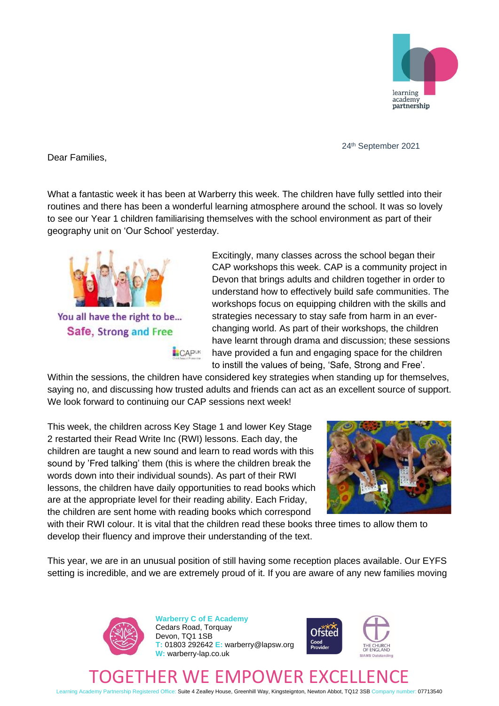

24th September 2021

Dear Families,

What a fantastic week it has been at Warberry this week. The children have fully settled into their routines and there has been a wonderful learning atmosphere around the school. It was so lovely to see our Year 1 children familiarising themselves with the school environment as part of their geography unit on 'Our School' yesterday.



Excitingly, many classes across the school began their CAP workshops this week. CAP is a community project in Devon that brings adults and children together in order to understand how to effectively build safe communities. The workshops focus on equipping children with the skills and strategies necessary to stay safe from harm in an everchanging world. As part of their workshops, the children have learnt through drama and discussion; these sessions have provided a fun and engaging space for the children to instill the values of being, 'Safe, Strong and Free'.

Within the sessions, the children have considered key strategies when standing up for themselves, saying no, and discussing how trusted adults and friends can act as an excellent source of support. We look forward to continuing our CAP sessions next week!

This week, the children across Key Stage 1 and lower Key Stage 2 restarted their Read Write Inc (RWI) lessons. Each day, the children are taught a new sound and learn to read words with this sound by 'Fred talking' them (this is where the children break the words down into their individual sounds). As part of their RWI lessons, the children have daily opportunities to read books which are at the appropriate level for their reading ability. Each Friday, the children are sent home with reading books which correspond



with their RWI colour. It is vital that the children read these books three times to allow them to develop their fluency and improve their understanding of the text.

This year, we are in an unusual position of still having some reception places available. Our EYFS setting is incredible, and we are extremely proud of it. If you are aware of any new families moving



**Warberry C of E Academy** Cedars Road, Torquay Devon, TQ1 1SB **T:** 01803 292642 **E:** warberry@lapsw.org **W:** warberry-lap.co.uk



## WE EMPOWER EXC

Learning Academy Partnership Registered Office: Suite 4 Zealley House, Greenhill Way, Kingsteignton, Newton Abbot, TQ12 3SB Company number: 07713540